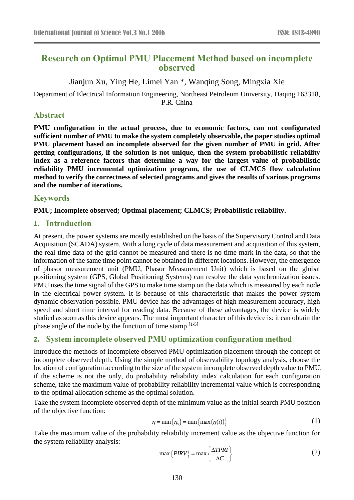# **Research on Optimal PMU Placement Method based on incomplete observed**

Jianjun Xu, Ying He, Limei Yan \*, Wanqing Song, Mingxia Xie

Department of Electrical Information Engineering, Northeast Petroleum University, Daqing 163318, P.R. China

#### **Abstract**

**PMU configuration in the actual process, due to economic factors, can not configurated sufficient number of PMU to make the system completely observable, the paper studies optimal PMU placement based on incomplete observed for the given number of PMU in grid. After getting configurations, if the solution is not unique, then the system probabilistic reliability index as a reference factors that determine a way for the largest value of probabilistic reliability PMU incremental optimization program, the use of CLMCS flow calculation method to verify the correctness of selected programs and gives the results of various programs and the number of iterations.**

### **Keywords**

### **PMU; Incomplete observed; Optimal placement; CLMCS; Probabilistic reliability.**

### **1. Introduction**

At present, the power systems are mostly established on the basis of the Supervisory Control and Data Acquisition (SCADA) system. With a long cycle of data measurement and acquisition of this system, the real-time data of the grid cannot be measured and there is no time mark in the data, so that the information of the same time point cannot be obtained in different locations. However, the emergence of phasor measurement unit (PMU, Phasor Measurement Unit) which is based on the global positioning system (GPS, Global Positioning Systems) can resolve the data synchronization issues. PMU uses the time signal of the GPS to make time stamp on the data which is measured by each node in the electrical power system. It is because of this characteristic that makes the power system dynamic observation possible. PMU device has the advantages of high measurement accuracy, high speed and short time interval for reading data. Because of these advantages, the device is widely studied as soon as this device appears. The most important character of this device is: it can obtain the phase angle of the node by the function of time stamp  $[1-5]$ .

# **2. System incomplete observed PMU optimization configuration method**

Introduce the methods of incomplete observed PMU optimization placement through the concept of incomplete observed depth. Using the simple method of observability topology analysis, choose the location of configuration according to the size of the system incomplete observed depth value to PMU, if the scheme is not the only, do probability reliability index calculation for each configuration scheme, take the maximum value of probability reliability incremental value which is corresponding to the optimal allocation scheme as the optimal solution.

Take the system incomplete observed depth of the minimum value as the initial search PMU position of the objective function:

$$
\eta = \min\left\{\eta_s\right\} = \min\left\{\max\left\{\eta(i)\right\}\right\} \tag{1}
$$

Take the maximum value of the probability reliability increment value as the objective function for the system reliability analysis:

$$
\max\{PIRV\} = \max\left\{\frac{\Delta TPRI}{\Delta C}\right\}
$$
 (2)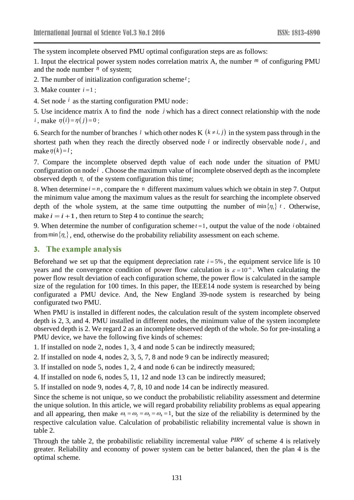The system incomplete observed PMU optimal configuration steps are as follows:

1. Input the electrical power system nodes correlation matrix A, the number  $<sup>m</sup>$  of configuring PMU</sup> and the node number  $<sup>n</sup>$  of system;</sup>

- 2. The number of initialization configuration scheme *t* ;
- 3. Make counter  $i = 1$ ;
- 4. Set node  $i$  as the starting configuration PMU node;

5. Use incidence matrix A to find the node  $j$  which has a direct connect relationship with the node *i*, make  $\eta(i) = \eta(j) = 0$ ;

6. Search for the number of branches *l* which other nodes K  $(k \neq i, j)$  in the system pass through in the shortest path when they reach the directly observed node  $i$  or indirectly observable node  $j$ , and  $\text{make } \eta(k) = l$ ;

7. Compare the incomplete observed depth value of each node under the situation of PMU configuration on node *i* . Choose the maximum value of incomplete observed depth as the incomplete observed depth  $\eta_s$  of the system configuration this time;

8. When determine  $i = n$ , compare the n different maximum values which we obtain in step 7. Output the minimum value among the maximum values as the result for searching the incomplete observed depth of the whole system, at the same time outputting the number of  $\min\{\eta_s\}$  t. Otherwise, make  $i = i + 1$ , then return to Step 4 to continue the search;

9. When determine the number of configuration scheme $t = 1$ , output the value of the node  $i$  obtained from  $\min\{\eta_s\}$ , end, otherwise do the probability reliability assessment on each scheme.

#### **3. The example analysis**

Beforehand we set up that the equipment depreciation rate  $i = 5\%$ , the equipment service life is 10 years and the convergence condition of power flow calculation is  $\varepsilon = 10^{-6}$ . When calculating the power flow result deviation of each configuration scheme, the power flow is calculated in the sample size of the regulation for 100 times. In this paper, the IEEE14 node system is researched by being configurated a PMU device. And, the New England 39-node system is researched by being configurated two PMU.

When PMU is installed in different nodes, the calculation result of the system incomplete observed depth is 2, 3, and 4. PMU installed in different nodes, the minimum value of the system incomplete observed depth is 2. We regard 2 as an incomplete observed depth of the whole. So for pre-instaling a PMU device, we have the following five kinds of schemes:

- 1. If installed on node 2, nodes 1, 3, 4 and node 5 can be indirectly measured;
- 2. If installed on node 4, nodes 2, 3, 5, 7, 8 and node 9 can be indirectly measured;
- 3. If installed on node 5, nodes 1, 2, 4 and node 6 can be indirectly measured;
- 4. If installed on node 6, nodes 5, 11, 12 and node 13 can be indirectly measured;
- 5. If installed on node 9, nodes 4, 7, 8, 10 and node 14 can be indirectly measured.

Since the scheme is not unique, so we conduct the probabilistic reliability assessment and determine the unique solution. In this article, we will regard probability reliability problems as equal appearing and all appearing, then make  $\omega_1 = \omega_2 = \omega_3 = \omega_4 = 1$ , but the size of the reliability is determined by the respective calculation value. Calculation of probabilistic reliability incremental value is shown in table 2.

Through the table 2, the probabilistic reliability incremental value *PIRV* of scheme 4 is relatively greater. Reliability and economy of power system can be better balanced, then the plan 4 is the optimal scheme.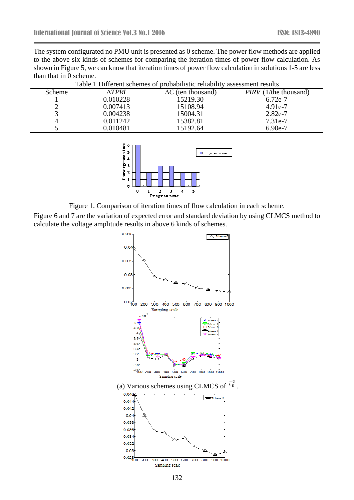The system configurated no PMU unit is presented as 0 scheme. The power flow methods are applied to the above six kinds of schemes for comparing the iteration times of power flow calculation. As shown in Figure 5, we can know that iteration times of power flow calculation in solutions 1-5 are less than that in 0 scheme.

| Scheme | ∆TPRI    | $\Delta C$ (ten thousand) | <i>PIRV</i> (1/the thousand) |  |  |  |
|--------|----------|---------------------------|------------------------------|--|--|--|
|        | 0.010228 | 15219.30                  | 6.72e-7                      |  |  |  |
| ∸      | 0.007413 | 15108.94                  | $4.91e-7$                    |  |  |  |
|        | 0.004238 | 15004.31                  | $2.82e-7$                    |  |  |  |
| 4      | 0.011242 | 15382.81                  | $7.31e-7$                    |  |  |  |
|        | 0.010481 | 15192.64                  | 6.90e-7                      |  |  |  |

Table 1 Different schemes of probabilistic reliability assessment results



Figure 1. Comparison of iteration times of flow calculation in each scheme.

Figure 6 and 7 are the variation of expected error and standard deviation by using CLMCS method to calculate the voltage amplitude results in above 6 kinds of schemes.

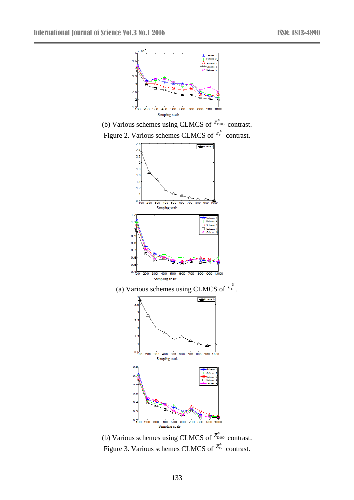

(b) Various schemes using CLMCS of  $\bar{\epsilon}_{\text{DIO0}}^{U}$  contrast. Figure 3. Various schemes CLMCS of  $\bar{e}^U_D$  contrast.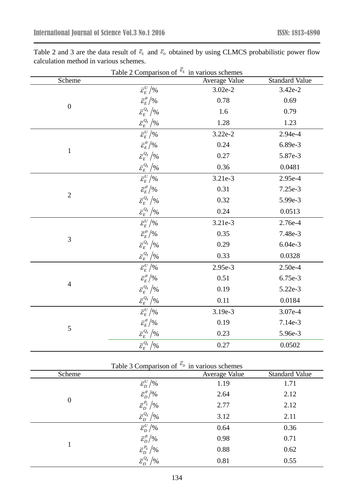| Table 2 Comparison of $\overline{\epsilon}_{E}$ in various schemes |                                                                                                               |               |                       |  |  |
|--------------------------------------------------------------------|---------------------------------------------------------------------------------------------------------------|---------------|-----------------------|--|--|
| Scheme                                                             |                                                                                                               | Average Value | <b>Standard Value</b> |  |  |
|                                                                    | $\bar{\mathcal{E}}_E^U\big/ \%$                                                                               | $3.02e-2$     | 3.42e-2               |  |  |
|                                                                    | $\bar{\varepsilon}_E^{\theta}/\%$                                                                             | 0.78          | 0.69                  |  |  |
| $\boldsymbol{0}$                                                   | $\bar{\mathcal{E}}_{E}^{Q_{ij}}\big / \%$                                                                     | 1.6           | 0.79                  |  |  |
|                                                                    |                                                                                                               | 1.28          | 1.23                  |  |  |
|                                                                    | $\overline{\varepsilon_{E}^{U}}$ /%                                                                           | $3.22e-2$     | 2.94e-4               |  |  |
|                                                                    | $\bar{\varepsilon}_{\scriptscriptstyle E}^{\scriptscriptstyle \theta}/\%$                                     | 0.24          | 6.89e-3               |  |  |
| $\mathbf{1}$                                                       | $\bar{\mathcal{E}}_{E}^{\mathcal{Q}_{ij}}\big / \%$                                                           | 0.27          | 5.87e-3               |  |  |
|                                                                    | $\bar{\mathcal{E}}_{E}^{\mathcal{Q}_{ij}}\big / \%$                                                           | 0.36          | 0.0481                |  |  |
|                                                                    | $\overline{\varepsilon_{\scriptscriptstyle\! F}^{\scriptscriptstyle U}}\,/$ %                                 | $3.21e-3$     | 2.95e-4               |  |  |
|                                                                    | $\bar{\varepsilon}_{\scriptscriptstyle E}^{\scriptscriptstyle \theta}/\%$                                     | 0.31          | 7.25e-3               |  |  |
| $\overline{2}$                                                     | $\bar{\mathcal{E}}_{E}^{\mathcal{Q}_{ij}}\big / \%$                                                           | 0.32          | 5.99e-3               |  |  |
|                                                                    | $\frac{\overline{\mathcal{E}}_{E}^{Q_{ij}}\left/ \right.}{\overline{\mathcal{E}}_{E}^{U}\left/ \right. \!\%}$ | 0.24          | 0.0513                |  |  |
|                                                                    |                                                                                                               | 3.21e-3       | 2.76e-4               |  |  |
|                                                                    | $\bar{\varepsilon}_{\scriptscriptstyle E}^{\scriptscriptstyle \theta}/\mathrm{\%}$                            | 0.35          | 7.48e-3               |  |  |
| 3                                                                  | $\bar{\mathcal{E}}_{E}^{\mathcal{Q}_{ij}}\big / \%$                                                           | 0.29          | 6.04e-3               |  |  |
|                                                                    | $\frac{\overline{\cal E}_E^{\mathcal{Q}_{ij}}\big/\mathcal{Y}_0}{\overline{\cal E}_E^U\big/\mathcal{Y}_0}$    | 0.33          | 0.0328                |  |  |
|                                                                    |                                                                                                               | 2.95e-3       | 2.50e-4               |  |  |
|                                                                    | $\bar{\varepsilon}_E^{\theta}/\%$                                                                             | 0.51          | 6.75e-3               |  |  |
| $\overline{4}$                                                     | $\bar{\mathcal{E}}_{E}^{\mathcal{Q}_{ij}}\big / \%$                                                           | 0.19          | 5.22e-3               |  |  |
|                                                                    |                                                                                                               | 0.11          | 0.0184                |  |  |
|                                                                    | $\bar{\varepsilon}^{\scriptscriptstyle U}_{\scriptscriptstyle F}/\%$                                          | 3.19e-3       | 3.07e-4               |  |  |
|                                                                    | $\bar{\varepsilon}_E^{\theta}/\%$                                                                             | 0.19          | 7.14e-3               |  |  |
| 5                                                                  | $\bar{\mathcal{E}}_{E}^{\mathcal{Q}_{ij}}\big / \%$                                                           | 0.23          | 5.96e-3               |  |  |
|                                                                    | $\bar{\mathcal{E}}_{E}^{\mathcal{Q}_{ij}}\big/\%$                                                             | 0.27          | 0.0502                |  |  |

Table 2 and 3 are the data result of  $\bar{\epsilon}_{E}$  and  $\bar{\epsilon}_{D}$  obtained by using CLMCS probabilistic power flow calculation method in various schemes.

| Table 3 Comparison of $\bar{\varepsilon}_{\text{D}}$ in various schemes |                                                                                                                                                                                             |               |                       |  |  |
|-------------------------------------------------------------------------|---------------------------------------------------------------------------------------------------------------------------------------------------------------------------------------------|---------------|-----------------------|--|--|
| Scheme                                                                  |                                                                                                                                                                                             | Average Value | <b>Standard Value</b> |  |  |
|                                                                         |                                                                                                                                                                                             | 1.19          | 1.71                  |  |  |
|                                                                         | $\frac{\bar{\varepsilon}_D^U}{\bar{\varepsilon}_D^{\theta}/\%}$                                                                                                                             | 2.64          | 2.12                  |  |  |
| $\theta$                                                                | $\overline{\varepsilon_D}^{P_{ij}}/96$                                                                                                                                                      | 2.77          | 2.12                  |  |  |
|                                                                         | $\overline{\varepsilon}_{D}^{\overline{\mathcal{Q}_{ij}}}/\mathcal{Y}_{0}$                                                                                                                  | 3.12          | 2.11                  |  |  |
|                                                                         |                                                                                                                                                                                             | 0.64          | 0.36                  |  |  |
|                                                                         |                                                                                                                                                                                             | 0.98          | 0.71                  |  |  |
|                                                                         | $\begin{split} \overline{\mathcal{E}}^{U}_{D}/\% \ \overline{\mathcal{E}}^{ \theta}_{D}/\% \ \overline{\mathcal{E}}^{ P_{ij}}_{D}/\% \ \overline{\mathcal{E}}^{ Q_{ij}}_{D}/\% \end{split}$ | 0.88          | 0.62                  |  |  |
|                                                                         |                                                                                                                                                                                             | 0.81          | 0.55                  |  |  |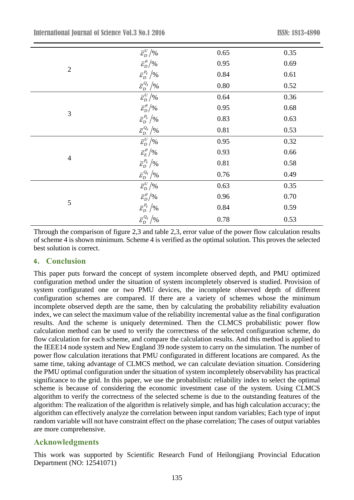|                | $\bar{\varepsilon}_{\scriptscriptstyle D}^{\scriptscriptstyle U}/\%$                                                      | 0.65     | 0.35 |
|----------------|---------------------------------------------------------------------------------------------------------------------------|----------|------|
|                | $\bar{\varepsilon}_D^{\theta}/\%$                                                                                         | 0.95     | 0.69 |
| $\mathbf{2}$   | $\bar{\mathcal{E}}_{D}^{P_{ij}}\big / \%$                                                                                 | 0.84     | 0.61 |
|                | $\bar{\varepsilon}_{\scriptscriptstyle D}^{\scriptscriptstyle Q_{ij}}\left/ \!\! \right. \!\! \gamma_{\!0}$               | $0.80\,$ | 0.52 |
|                | $\bar{\varepsilon}_{D}^{U}/\%$                                                                                            | 0.64     | 0.36 |
|                | $\bar{\varepsilon}^{\scriptscriptstyle{\theta}}_{{\scriptscriptstyle{D}}}/\%$                                             | 0.95     | 0.68 |
| 3              | $\bar{\mathcal{E}}_{D}^{P_{ij}}\big / \%$                                                                                 | 0.83     | 0.63 |
|                | $\bar{\mathcal{E}}_D^{\mathcal{Q}_{ij}} \big/ \%$                                                                         | 0.81     | 0.53 |
|                | $\bar{\varepsilon}_{D}^{U}/\%$                                                                                            | 0.95     | 0.32 |
|                | $\bar{\mathcal{E}}_E^\theta\big/ \%$                                                                                      | 0.93     | 0.66 |
| $\overline{4}$ | $\bar{\varepsilon}_{\scriptscriptstyle D}^{\scriptscriptstyle P_{ij}}\left/ \!\! \right. \!\! \gamma_0$                   | 0.81     | 0.58 |
|                | $\bar{\mathcal{E}}_D^{\mathcal{Q}_{ij}} \big/ \%$                                                                         | 0.76     | 0.49 |
|                | $\overline{\varepsilon_D^{\scriptscriptstyle U}/\mathcal{C}}$                                                             | 0.63     | 0.35 |
|                | $\bar{\varepsilon}_D^{\theta}/\%$                                                                                         | 0.96     | 0.70 |
| 5              | $\bar{\mathcal{E}}_{D}^{P_{ij}}\big / \%$                                                                                 | 0.84     | 0.59 |
|                | $\bar{\varepsilon}_{\scriptscriptstyle D}^{\scriptscriptstyle Q_{ij}}\left/ \right. \!\! \gamma_{\!\scriptscriptstyle 0}$ | 0.78     | 0.53 |

Through the comparison of figure 2,3 and table 2,3, error value of the power flow calculation results of scheme 4 is shown minimum. Scheme 4 is verified as the optimal solution. This proves the selected best solution is correct.

# **4. Conclusion**

This paper puts forward the concept of system incomplete observed depth, and PMU optimized configuration method under the situation of system incompletely observed is studied. Provision of system configurated one or two PMU devices, the incomplete observed depth of different configuration schemes are compared. If there are a variety of schemes whose the minimum incomplete observed depth are the same, then by calculating the probability reliability evaluation index, we can select the maximum value of the reliability incremental value as the final configuration results. And the scheme is uniquely determined. Then the CLMCS probabilistic power flow calculation method can be used to verify the correctness of the selected configuration scheme, do flow calculation for each scheme, and compare the calculation results. And this method is applied to the IEEE14 node system and New England 39 node system to carry on the simulation. The number of power flow calculation iterations that PMU configurated in different locations are compared. As the same time, taking advantage of CLMCS method, we can calculate deviation situation. Considering the PMU optimal configuration under the situation of system incompletely observability has practical significance to the grid. In this paper, we use the probabilistic reliability index to select the optimal scheme is because of considering the economic investment case of the system. Using CLMCS algorithm to verify the correctness of the selected scheme is due to the outstanding features of the algorithm: The realization of the algorithm is relatively simple, and has high calculation accuracy; the algorithm can effectively analyze the correlation between input random variables; Each type of input random variable will not have constraint effect on the phase correlation; The cases of output variables are more comprehensive.

# **Acknowledgments**

This work was supported by Scientific Research Fund of Heilongjiang Provincial Education Department (NO: 12541071)